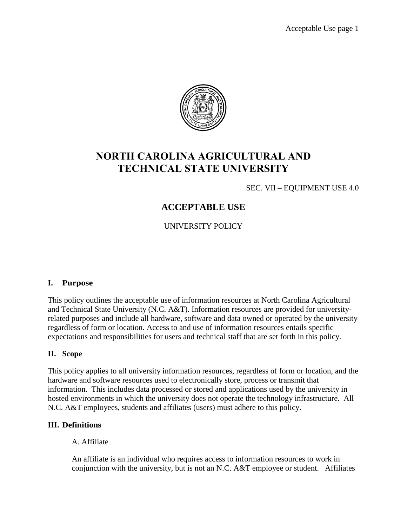Acceptable Use page 1



# **NORTH CAROLINA AGRICULTURAL AND TECHNICAL STATE UNIVERSITY**

SEC. VII – EQUIPMENT USE 4.0

# **ACCEPTABLE USE**

UNIVERSITY POLICY

# **I. Purpose**

This policy outlines the acceptable use of information resources at North Carolina Agricultural and Technical State University (N.C. A&T). Information resources are provided for universityrelated purposes and include all hardware, software and data owned or operated by the university regardless of form or location. Access to and use of information resources entails specific expectations and responsibilities for users and technical staff that are set forth in this policy.

# **II. Scope**

This policy applies to all university information resources, regardless of form or location, and the hardware and software resources used to electronically store, process or transmit that information. This includes data processed or stored and applications used by the university in hosted environments in which the university does not operate the technology infrastructure. All N.C. A&T employees, students and affiliates (users) must adhere to this policy.

# **III. Definitions**

A. Affiliate

An affiliate is an individual who requires access to information resources to work in conjunction with the university, but is not an N.C. A&T employee or student. Affiliates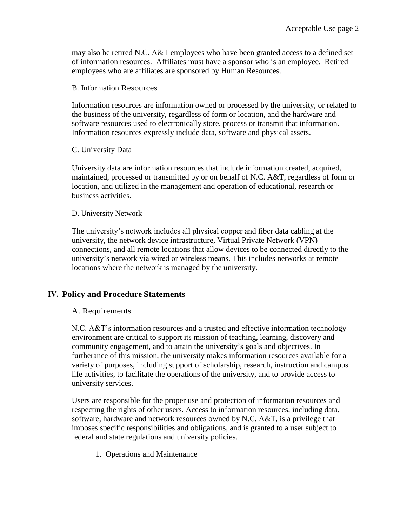may also be retired N.C. A&T employees who have been granted access to a defined set of information resources. Affiliates must have a sponsor who is an employee. Retired employees who are affiliates are sponsored by Human Resources.

#### B. Information Resources

Information resources are information owned or processed by the university, or related to the business of the university, regardless of form or location, and the hardware and software resources used to electronically store, process or transmit that information. Information resources expressly include data, software and physical assets.

#### C. University Data

University data are information resources that include information created, acquired, maintained, processed or transmitted by or on behalf of N.C. A&T, regardless of form or location, and utilized in the management and operation of educational, research or business activities.

#### D. University Network

The university's network includes all physical copper and fiber data cabling at the university, the network device infrastructure, Virtual Private Network (VPN) connections, and all remote locations that allow devices to be connected directly to the university's network via wired or wireless means. This includes networks at remote locations where the network is managed by the university.

# **IV. Policy and Procedure Statements**

# A. Requirements

N.C. A&T's information resources and a trusted and effective information technology environment are critical to support its mission of teaching, learning, discovery and community engagement, and to attain the university's goals and objectives. In furtherance of this mission, the university makes information resources available for a variety of purposes, including support of scholarship, research, instruction and campus life activities, to facilitate the operations of the university, and to provide access to university services.

Users are responsible for the proper use and protection of information resources and respecting the rights of other users. Access to information resources, including data, software, hardware and network resources owned by N.C. A&T, is a privilege that imposes specific responsibilities and obligations, and is granted to a user subject to federal and state regulations and university policies.

1. Operations and Maintenance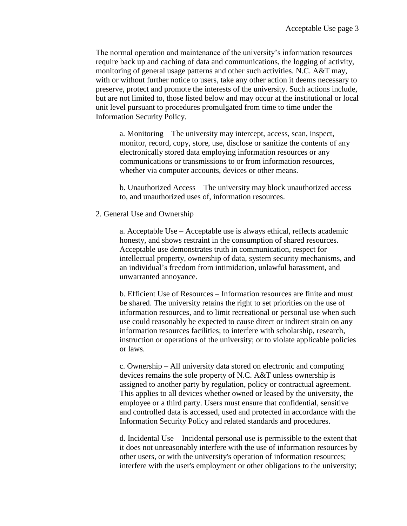The normal operation and maintenance of the university's information resources require back up and caching of data and communications, the logging of activity, monitoring of general usage patterns and other such activities. N.C. A&T may, with or without further notice to users, take any other action it deems necessary to preserve, protect and promote the interests of the university. Such actions include, but are not limited to, those listed below and may occur at the institutional or local unit level pursuant to procedures promulgated from time to time under the Information Security Policy.

a. Monitoring – The university may intercept, access, scan, inspect, monitor, record, copy, store, use, disclose or sanitize the contents of any electronically stored data employing information resources or any communications or transmissions to or from information resources, whether via computer accounts, devices or other means.

b. Unauthorized Access – The university may block unauthorized access to, and unauthorized uses of, information resources.

2. General Use and Ownership

a. Acceptable Use – Acceptable use is always ethical, reflects academic honesty, and shows restraint in the consumption of shared resources. Acceptable use demonstrates truth in communication, respect for intellectual property, ownership of data, system security mechanisms, and an individual's freedom from intimidation, unlawful harassment, and unwarranted annoyance.

b. Efficient Use of Resources – Information resources are finite and must be shared. The university retains the right to set priorities on the use of information resources, and to limit recreational or personal use when such use could reasonably be expected to cause direct or indirect strain on any information resources facilities; to interfere with scholarship, research, instruction or operations of the university; or to violate applicable policies or laws.

c. Ownership – All university data stored on electronic and computing devices remains the sole property of N.C. A&T unless ownership is assigned to another party by regulation, policy or contractual agreement. This applies to all devices whether owned or leased by the university, the employee or a third party. Users must ensure that confidential, sensitive and controlled data is accessed, used and protected in accordance with the Information Security Policy and related standards and procedures.

d. Incidental Use – Incidental personal use is permissible to the extent that it does not unreasonably interfere with the use of information resources by other users, or with the university's operation of information resources; interfere with the user's employment or other obligations to the university;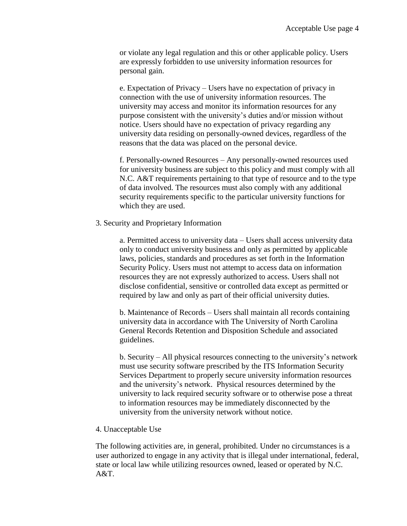or violate any legal regulation and this or other applicable policy. Users are expressly forbidden to use university information resources for personal gain.

e. Expectation of Privacy – Users have no expectation of privacy in connection with the use of university information resources. The university may access and monitor its information resources for any purpose consistent with the university's duties and/or mission without notice. Users should have no expectation of privacy regarding any university data residing on personally-owned devices, regardless of the reasons that the data was placed on the personal device.

f. Personally-owned Resources – Any personally-owned resources used for university business are subject to this policy and must comply with all N.C. A&T requirements pertaining to that type of resource and to the type of data involved. The resources must also comply with any additional security requirements specific to the particular university functions for which they are used.

3. Security and Proprietary Information

a. Permitted access to university data – Users shall access university data only to conduct university business and only as permitted by applicable laws, policies, standards and procedures as set forth in the Information Security Policy. Users must not attempt to access data on information resources they are not expressly authorized to access. Users shall not disclose confidential, sensitive or controlled data except as permitted or required by law and only as part of their official university duties.

b. Maintenance of Records – Users shall maintain all records containing university data in accordance with The University of North Carolina General Records Retention and Disposition Schedule and associated guidelines.

b. Security – All physical resources connecting to the university's network must use security software prescribed by the ITS Information Security Services Department to properly secure university information resources and the university's network. Physical resources determined by the university to lack required security software or to otherwise pose a threat to information resources may be immediately disconnected by the university from the university network without notice.

#### 4. Unacceptable Use

The following activities are, in general, prohibited. Under no circumstances is a user authorized to engage in any activity that is illegal under international, federal, state or local law while utilizing resources owned, leased or operated by N.C.  $A\&T$ .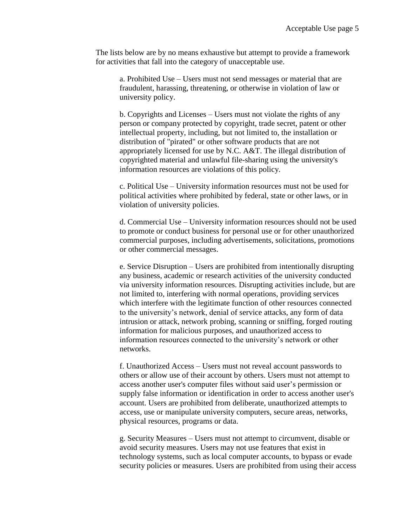The lists below are by no means exhaustive but attempt to provide a framework for activities that fall into the category of unacceptable use.

a. Prohibited Use – Users must not send messages or material that are fraudulent, harassing, threatening, or otherwise in violation of law or university policy.

b. Copyrights and Licenses – Users must not violate the rights of any person or company protected by copyright, trade secret, patent or other intellectual property, including, but not limited to, the installation or distribution of "pirated" or other software products that are not appropriately licensed for use by N.C. A&T. The illegal distribution of copyrighted material and unlawful file-sharing using the university's information resources are violations of this policy.

c. Political Use – University information resources must not be used for political activities where prohibited by federal, state or other laws, or in violation of university policies.

d. Commercial Use – University information resources should not be used to promote or conduct business for personal use or for other unauthorized commercial purposes, including advertisements, solicitations, promotions or other commercial messages.

e. Service Disruption – Users are prohibited from intentionally disrupting any business, academic or research activities of the university conducted via university information resources. Disrupting activities include, but are not limited to, interfering with normal operations, providing services which interfere with the legitimate function of other resources connected to the university's network, denial of service attacks, any form of data intrusion or attack, network probing, scanning or sniffing, forged routing information for malicious purposes, and unauthorized access to information resources connected to the university's network or other networks.

f. Unauthorized Access – Users must not reveal account passwords to others or allow use of their account by others. Users must not attempt to access another user's computer files without said user's permission or supply false information or identification in order to access another user's account. Users are prohibited from deliberate, unauthorized attempts to access, use or manipulate university computers, secure areas, networks, physical resources, programs or data.

g. Security Measures – Users must not attempt to circumvent, disable or avoid security measures. Users may not use features that exist in technology systems, such as local computer accounts, to bypass or evade security policies or measures. Users are prohibited from using their access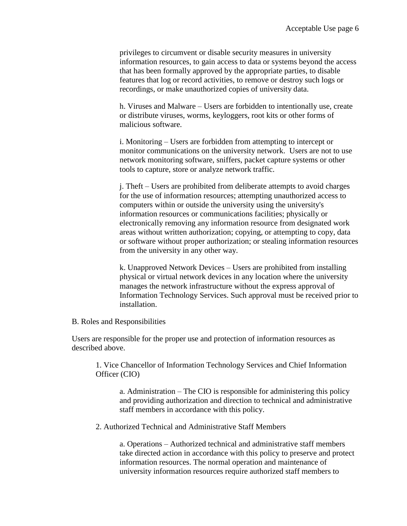privileges to circumvent or disable security measures in university information resources, to gain access to data or systems beyond the access that has been formally approved by the appropriate parties, to disable features that log or record activities, to remove or destroy such logs or recordings, or make unauthorized copies of university data.

h. Viruses and Malware – Users are forbidden to intentionally use, create or distribute viruses, worms, keyloggers, root kits or other forms of malicious software.

i. Monitoring – Users are forbidden from attempting to intercept or monitor communications on the university network. Users are not to use network monitoring software, sniffers, packet capture systems or other tools to capture, store or analyze network traffic.

j. Theft – Users are prohibited from deliberate attempts to avoid charges for the use of information resources; attempting unauthorized access to computers within or outside the university using the university's information resources or communications facilities; physically or electronically removing any information resource from designated work areas without written authorization; copying, or attempting to copy, data or software without proper authorization; or stealing information resources from the university in any other way.

k. Unapproved Network Devices – Users are prohibited from installing physical or virtual network devices in any location where the university manages the network infrastructure without the express approval of Information Technology Services. Such approval must be received prior to installation.

B. Roles and Responsibilities

Users are responsible for the proper use and protection of information resources as described above.

1. Vice Chancellor of Information Technology Services and Chief Information Officer (CIO)

a. Administration – The CIO is responsible for administering this policy and providing authorization and direction to technical and administrative staff members in accordance with this policy.

2. Authorized Technical and Administrative Staff Members

a. Operations – Authorized technical and administrative staff members take directed action in accordance with this policy to preserve and protect information resources. The normal operation and maintenance of university information resources require authorized staff members to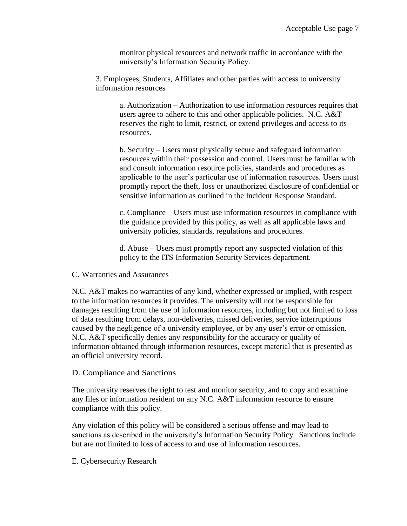monitor physical resources and network traffic in accordance with the university's Information Security Policy.

3. Employees, Students, Affiliates and other parties with access to university information resources

a. Authorization – Authorization to use information resources requires that users agree to adhere to this and other applicable policies. N.C. A&T reserves the right to limit, restrict, or extend privileges and access to its resources.

b. Security – Users must physically secure and safeguard information resources within their possession and control. Users must be familiar with and consult information resource policies, standards and procedures as applicable to the user's particular use of information resources. Users must promptly report the theft, loss or unauthorized disclosure of confidential or sensitive information as outlined in the Incident Response Standard.

c. Compliance – Users must use information resources in compliance with the guidance provided by this policy, as well as all applicable laws and university policies, standards, regulations and procedures.

d. Abuse – Users must promptly report any suspected violation of this policy to the ITS Information Security Services department.

C. Warranties and Assurances

N.C. A&T makes no warranties of any kind, whether expressed or implied, with respect to the information resources it provides. The university will not be responsible for damages resulting from the use of information resources, including but not limited to loss of data resulting from delays, non-deliveries, missed deliveries, service interruptions caused by the negligence of a university employee, or by any user's error or omission. N.C. A&T specifically denies any responsibility for the accuracy or quality of information obtained through information resources, except material that is presented as an official university record.

# D. Compliance and Sanctions

The university reserves the right to test and monitor security, and to copy and examine any files or information resident on any N.C. A&T information resource to ensure compliance with this policy.

Any violation of this policy will be considered a serious offense and may lead to sanctions as described in the university's Information Security Policy. Sanctions include but are not limited to loss of access to and use of information resources.

E. Cybersecurity Research